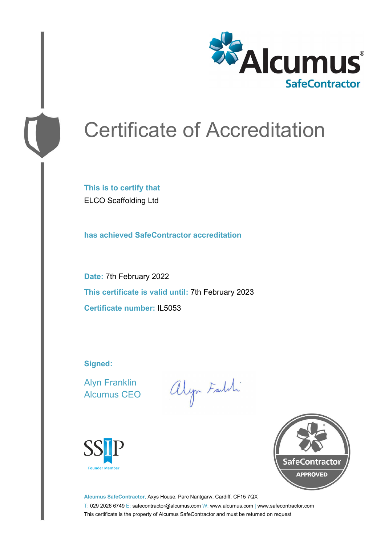

# Certificate of Accreditation

**This is to certify that** ELCO Scaffolding Ltd

**has achieved SafeContractor accreditation**

**Date:** 7th February 2022 **This certificate is valid until:** 7th February 2023 **Certificate number:** IL5053

**Signed:**

Alyn Franklin Alcumus CEO

alyn Faith





**Alcumus SafeContractor,** Axys House, Parc Nantgarw, Cardiff, CF15 7QX T: 029 2026 6749 E: safecontractor@alcumus.com W: www.alcumus.com | www.safecontractor.com This certificate is the property of Alcumus SafeContractor and must be returned on request